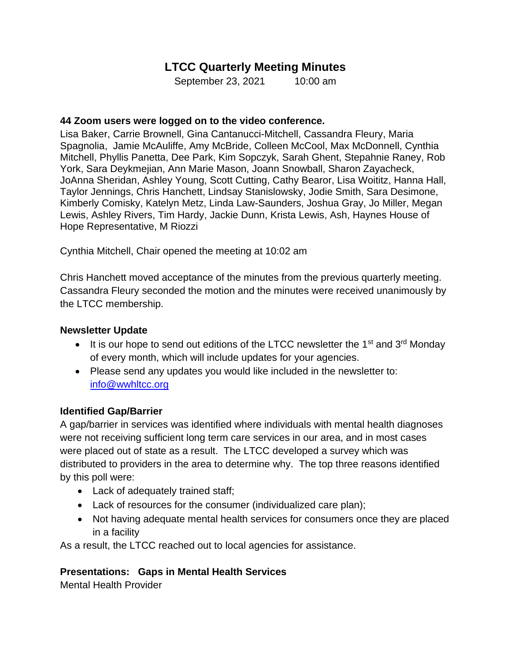# **LTCC Quarterly Meeting Minutes**

September 23, 2021 10:00 am

#### **44 Zoom users were logged on to the video conference.**

Lisa Baker, Carrie Brownell, Gina Cantanucci-Mitchell, Cassandra Fleury, Maria Spagnolia, Jamie McAuliffe, Amy McBride, Colleen McCool, Max McDonnell, Cynthia Mitchell, Phyllis Panetta, Dee Park, Kim Sopczyk, Sarah Ghent, Stepahnie Raney, Rob York, Sara Deykmejian, Ann Marie Mason, Joann Snowball, Sharon Zayacheck, JoAnna Sheridan, Ashley Young, Scott Cutting, Cathy Bearor, Lisa Woititz, Hanna Hall, Taylor Jennings, Chris Hanchett, Lindsay Stanislowsky, Jodie Smith, Sara Desimone, Kimberly Comisky, Katelyn Metz, Linda Law-Saunders, Joshua Gray, Jo Miller, Megan Lewis, Ashley Rivers, Tim Hardy, Jackie Dunn, Krista Lewis, Ash, Haynes House of Hope Representative, M Riozzi

Cynthia Mitchell, Chair opened the meeting at 10:02 am

Chris Hanchett moved acceptance of the minutes from the previous quarterly meeting. Cassandra Fleury seconded the motion and the minutes were received unanimously by the LTCC membership.

#### **Newsletter Update**

- It is our hope to send out editions of the LTCC newsletter the 1<sup>st</sup> and 3<sup>rd</sup> Monday of every month, which will include updates for your agencies.
- Please send any updates you would like included in the newsletter to: [info@wwhltcc.org](mailto:info@wwhltcc.org)

## **Identified Gap/Barrier**

A gap/barrier in services was identified where individuals with mental health diagnoses were not receiving sufficient long term care services in our area, and in most cases were placed out of state as a result. The LTCC developed a survey which was distributed to providers in the area to determine why. The top three reasons identified by this poll were:

- Lack of adequately trained staff;
- Lack of resources for the consumer (individualized care plan);
- Not having adequate mental health services for consumers once they are placed in a facility

As a result, the LTCC reached out to local agencies for assistance.

## **Presentations: Gaps in Mental Health Services**

Mental Health Provider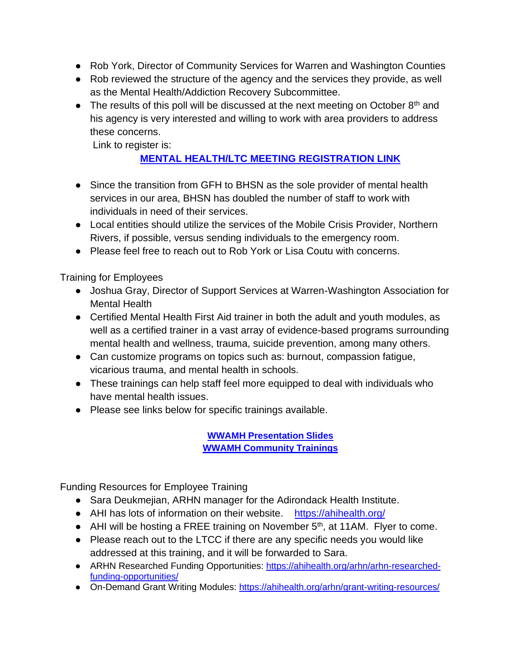- Rob York, Director of Community Services for Warren and Washington Counties
- Rob reviewed the structure of the agency and the services they provide, as well as the Mental Health/Addiction Recovery Subcommittee.
- The results of this poll will be discussed at the next meeting on October  $8<sup>th</sup>$  and his agency is very interested and willing to work with area providers to address these concerns.

Link to register is:

# **[MENTAL HEALTH/LTC MEETING REGISTRATION LINK](https://conta.cc/3uExWq5)**

- Since the transition from GFH to BHSN as the sole provider of mental health services in our area, BHSN has doubled the number of staff to work with individuals in need of their services.
- Local entities should utilize the services of the Mobile Crisis Provider, Northern Rivers, if possible, versus sending individuals to the emergency room.
- Please feel free to reach out to Rob York or Lisa Coutu with concerns.

Training for Employees

- Joshua Gray, Director of Support Services at Warren-Washington Association for Mental Health
- Certified Mental Health First Aid trainer in both the adult and youth modules, as well as a certified trainer in a vast array of evidence-based programs surrounding mental health and wellness, trauma, suicide prevention, among many others.
- Can customize programs on topics such as: burnout, compassion fatigue, vicarious trauma, and mental health in schools.
- These trainings can help staff feel more equipped to deal with individuals who have mental health issues.
- Please see links below for specific trainings available.

**[WWAMH Presentation Slides](https://app.box.com/s/xhbde3txbjt64g0ty8p5hbmbk3vh1bch) [WWAMH Community Trainings](https://app.box.com/s/ppgp72yiduke3ufwr599ibgm615gbzwn)**

Funding Resources for Employee Training

- Sara Deukmejian, ARHN manager for the Adirondack Health Institute.
- AHI has lots of information on their website. <https://ahihealth.org/>
- AHI will be hosting a FREE training on November 5<sup>th</sup>, at 11AM. Flyer to come.
- Please reach out to the LTCC if there are any specific needs you would like addressed at this training, and it will be forwarded to Sara.
- ARHN Researched Funding Opportunities: [https://ahihealth.org/arhn/arhn-researched](https://ahihealth.org/arhn/arhn-researched-funding-opportunities/)[funding-opportunities/](https://ahihealth.org/arhn/arhn-researched-funding-opportunities/)
- On-Demand Grant Writing Modules:<https://ahihealth.org/arhn/grant-writing-resources/>